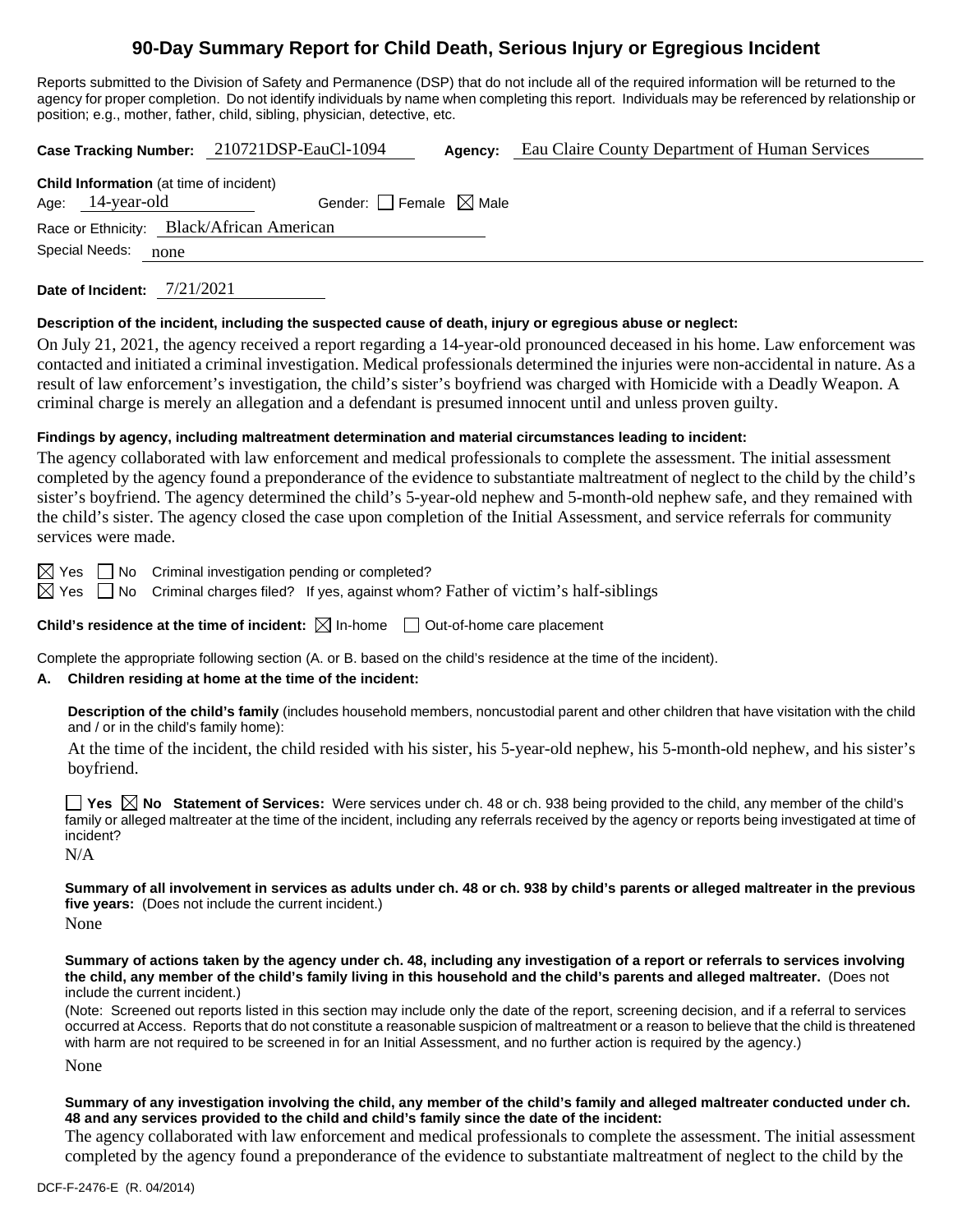# **90-Day Summary Report for Child Death, Serious Injury or Egregious Incident**

Reports submitted to the Division of Safety and Permanence (DSP) that do not include all of the required information will be returned to the agency for proper completion. Do not identify individuals by name when completing this report. Individuals may be referenced by relationship or position; e.g., mother, father, child, sibling, physician, detective, etc.

**Case Tracking Number:** 210721DSP-EauCl-1094 **Agency:** Eau Claire County Department of Human Services

| <b>Child Information</b> (at time of incident) |                                     |  |  |  |  |
|------------------------------------------------|-------------------------------------|--|--|--|--|
| Age: $14$ -year-old                            | Gender: $ $   Female $\bowtie$ Male |  |  |  |  |
| Race or Ethnicity: Black/African American      |                                     |  |  |  |  |
| Special Needs:<br>none                         |                                     |  |  |  |  |

**Date of Incident:** 7/21/2021

## **Description of the incident, including the suspected cause of death, injury or egregious abuse or neglect:**

On July 21, 2021, the agency received a report regarding a 14-year-old pronounced deceased in his home. Law enforcement was contacted and initiated a criminal investigation. Medical professionals determined the injuries were non-accidental in nature. As a result of law enforcement's investigation, the child's sister's boyfriend was charged with Homicide with a Deadly Weapon. A criminal charge is merely an allegation and a defendant is presumed innocent until and unless proven guilty.

## **Findings by agency, including maltreatment determination and material circumstances leading to incident:**

The agency collaborated with law enforcement and medical professionals to complete the assessment. The initial assessment completed by the agency found a preponderance of the evidence to substantiate maltreatment of neglect to the child by the child's sister's boyfriend. The agency determined the child's 5-year-old nephew and 5-month-old nephew safe, and they remained with the child's sister. The agency closed the case upon completion of the Initial Assessment, and service referrals for community services were made.

 $\boxtimes$  Yes  $\Box$  No Criminal investigation pending or completed?

 $\boxtimes$  Yes  $\Box$  No Criminal charges filed? If yes, against whom? Father of victim's half-siblings

**Child's residence at the time of incident:**  $\boxtimes$  In-home  $\Box$  Out-of-home care placement

Complete the appropriate following section (A. or B. based on the child's residence at the time of the incident).

## **A. Children residing at home at the time of the incident:**

**Description of the child's family** (includes household members, noncustodial parent and other children that have visitation with the child and / or in the child's family home):

At the time of the incident, the child resided with his sister, his 5-year-old nephew, his 5-month-old nephew, and his sister's boyfriend.

**Yes No Statement of Services:** Were services under ch. 48 or ch. 938 being provided to the child, any member of the child's family or alleged maltreater at the time of the incident, including any referrals received by the agency or reports being investigated at time of incident? N/A

**Summary of all involvement in services as adults under ch. 48 or ch. 938 by child's parents or alleged maltreater in the previous five years:** (Does not include the current incident.) None

#### **Summary of actions taken by the agency under ch. 48, including any investigation of a report or referrals to services involving the child, any member of the child's family living in this household and the child's parents and alleged maltreater.** (Does not include the current incident.)

(Note: Screened out reports listed in this section may include only the date of the report, screening decision, and if a referral to services occurred at Access. Reports that do not constitute a reasonable suspicion of maltreatment or a reason to believe that the child is threatened with harm are not required to be screened in for an Initial Assessment, and no further action is required by the agency.)

None

### **Summary of any investigation involving the child, any member of the child's family and alleged maltreater conducted under ch. 48 and any services provided to the child and child's family since the date of the incident:**

The agency collaborated with law enforcement and medical professionals to complete the assessment. The initial assessment completed by the agency found a preponderance of the evidence to substantiate maltreatment of neglect to the child by the